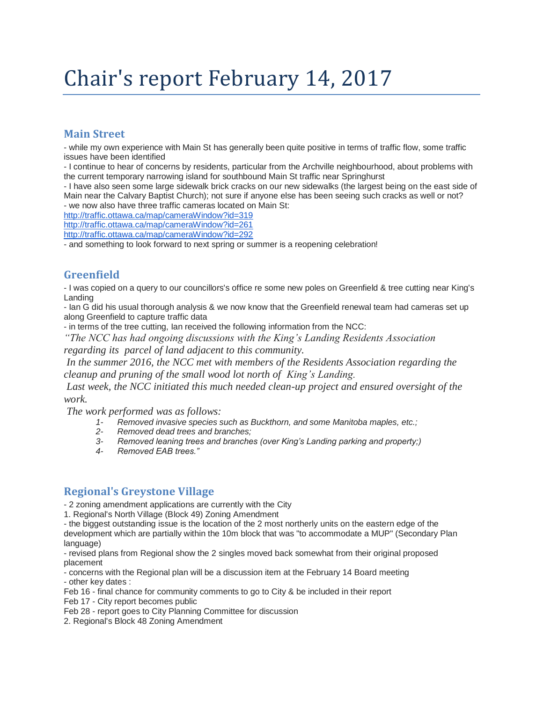# Chair's report February 14, 2017

# **Main Street**

- while my own experience with Main St has generally been quite positive in terms of traffic flow, some traffic issues have been identified

- I continue to hear of concerns by residents, particular from the Archville neighbourhood, about problems with the current temporary narrowing island for southbound Main St traffic near Springhurst

- I have also seen some large sidewalk brick cracks on our new sidewalks (the largest being on the east side of Main near the Calvary Baptist Church); not sure if anyone else has been seeing such cracks as well or not? - we now also have three traffic cameras located on Main St:

<http://traffic.ottawa.ca/map/cameraWindow?id=319>

<http://traffic.ottawa.ca/map/cameraWindow?id=261>

<http://traffic.ottawa.ca/map/cameraWindow?id=292>

- and something to look forward to next spring or summer is a reopening celebration!

# **Greenfield**

- I was copied on a query to our councillors's office re some new poles on Greenfield & tree cutting near King's Landing

- Ian G did his usual thorough analysis & we now know that the Greenfield renewal team had cameras set up along Greenfield to capture traffic data

- in terms of the tree cutting, Ian received the following information from the NCC:

*"The NCC has had ongoing discussions with the King's Landing Residents Association regarding its parcel of land adjacent to this community.*

*In the summer 2016, the NCC met with members of the Residents Association regarding the cleanup and pruning of the small wood lot north of King's Landing.*

Last week, the NCC initiated this much needed clean-up project and ensured oversight of the *work.*

*The work performed was as follows:*

- *1- Removed invasive species such as Buckthorn, and some Manitoba maples, etc.;*
- *2- Removed dead trees and branches;*
- *3- Removed leaning trees and branches (over King's Landing parking and property;)*
- *4- Removed EAB trees."*

# **Regional's Greystone Village**

- 2 zoning amendment applications are currently with the City

1. Regional's North Village (Block 49) Zoning Amendment

- the biggest outstanding issue is the location of the 2 most northerly units on the eastern edge of the development which are partially within the 10m block that was "to accommodate a MUP" (Secondary Plan language)

- revised plans from Regional show the 2 singles moved back somewhat from their original proposed placement

- concerns with the Regional plan will be a discussion item at the February 14 Board meeting - other key dates :

Feb 16 - final chance for community comments to go to City & be included in their report

Feb 17 - City report becomes public

Feb 28 - report goes to City Planning Committee for discussion

2. Regional's Block 48 Zoning Amendment